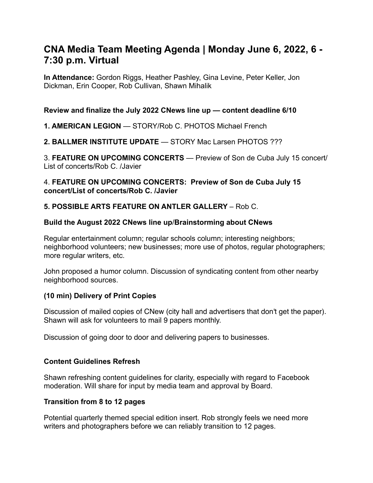# **CNA Media Team Meeting Agenda | Monday June 6, 2022, 6 - 7:30 p.m. Virtual**

**In Attendance:** Gordon Riggs, Heather Pashley, Gina Levine, Peter Keller, Jon Dickman, Erin Cooper, Rob Cullivan, Shawn Mihalik

#### **Review and finalize the July 2022 CNews line up — content deadline 6/10**

#### **1. AMERICAN LEGION** — STORY/Rob C. PHOTOS Michael French

#### **2. BALLMER INSTITUTE UPDATE** — STORY Mac Larsen PHOTOS ???

3. **FEATURE ON UPCOMING CONCERTS** — Preview of Son de Cuba July 15 concert/ List of concerts/Rob C. /Javier

#### 4. **FEATURE ON UPCOMING CONCERTS: Preview of Son de Cuba July 15 concert/List of concerts/Rob C. /Javier**

### **5. POSSIBLE ARTS FEATURE ON ANTLER GALLERY** – Rob C.

#### **Build the August 2022 CNews line up**/**Brainstorming about CNews**

Regular entertainment column; regular schools column; interesting neighbors; neighborhood volunteers; new businesses; more use of photos, regular photographers; more regular writers, etc.

John proposed a humor column. Discussion of syndicating content from other nearby neighborhood sources.

#### **(10 min) Delivery of Print Copies**

Discussion of mailed copies of CNew (city hall and advertisers that don't get the paper). Shawn will ask for volunteers to mail 9 papers monthly.

Discussion of going door to door and delivering papers to businesses.

#### **Content Guidelines Refresh**

Shawn refreshing content guidelines for clarity, especially with regard to Facebook moderation. Will share for input by media team and approval by Board.

#### **Transition from 8 to 12 pages**

Potential quarterly themed special edition insert. Rob strongly feels we need more writers and photographers before we can reliably transition to 12 pages.